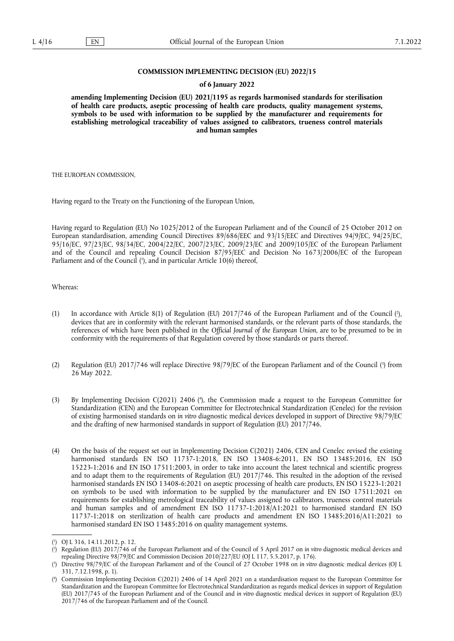## **COMMISSION IMPLEMENTING DECISION (EU) 2022/15**

## **of 6 January 2022**

**amending Implementing Decision (EU) 2021/1195 as regards harmonised standards for sterilisation of health care products, aseptic processing of health care products, quality management systems, symbols to be used with information to be supplied by the manufacturer and requirements for establishing metrological traceability of values assigned to calibrators, trueness control materials and human samples** 

THE EUROPEAN COMMISSION,

Having regard to the Treaty on the Functioning of the European Union,

Having regard to Regulation (EU) No 1025/2012 of the European Parliament and of the Council of 25 October 2012 on European standardisation, amending Council Directives 89/686/EEC and 93/15/EEC and Directives 94/9/EC, 94/25/EC, 95/16/EC, 97/23/EC, 98/34/EC, 2004/22/EC, 2007/23/EC, 2009/23/EC and 2009/105/EC of the European Parliament and of the Council and repealing Council Decision 87/95/EEC and Decision No 1673/2006/EC of the European Parliament and of the Council [\(](#page-0-0)'), and in particular Article 10(6) thereof,

<span id="page-0-4"></span>Whereas:

- <span id="page-0-5"></span>[\(](#page-0-1)1) In accordance with Article  $8(1)$  of Regulation (EU) 2017/746 of the European Parliament and of the Council  $\langle ? \rangle$ , devices that are in conformity with the relevant harmonised standards, or the relevant parts of those standards, the references of which have been published in the *Official Journal of the European Union*, are to be presumed to be in conformity with the requirements of that Regulation covered by those standards or parts thereof.
- <span id="page-0-6"></span>[\(](#page-0-2)2) Regulation (EU) 2017/746 will replace Directive 98/79/EC of the European Parliament and of the Council (?) from 26 May 2022.
- <span id="page-0-7"></span>(3) By Implementing Decision C(2021) 2406 ( 4 [\),](#page-0-3) the Commission made a request to the European Committee for Standardization (CEN) and the European Committee for Electrotechnical Standardization (Cenelec) for the revision of existing harmonised standards on *in vitro* diagnostic medical devices developed in support of Directive 98/79/EC and the drafting of new harmonised standards in support of Regulation (EU) 2017/746.
- (4) On the basis of the request set out in Implementing Decision C(2021) 2406, CEN and Cenelec revised the existing harmonised standards EN ISO 11737-1:2018, EN ISO 13408-6:2011, EN ISO 13485:2016, EN ISO 15223-1:2016 and EN ISO 17511:2003, in order to take into account the latest technical and scientific progress and to adapt them to the requirements of Regulation (EU) 2017/746. This resulted in the adoption of the revised harmonised standards EN ISO 13408-6:2021 on aseptic processing of health care products, EN ISO 15223-1:2021 on symbols to be used with information to be supplied by the manufacturer and EN ISO 17511:2021 on requirements for establishing metrological traceability of values assigned to calibrators, trueness control materials and human samples and of amendment EN ISO 11737-1:2018/A1:2021 to harmonised standard EN ISO 11737-1:2018 on sterilization of health care products and amendment EN ISO 13485:2016/A11:2021 to harmonised standard EN ISO 13485:2016 on quality management systems.

<span id="page-0-0"></span>[<sup>\(</sup>](#page-0-4) 1 ) OJ L 316, 14.11.2012, p. 12.

<span id="page-0-1"></span>[<sup>\(</sup>](#page-0-5) 2 ) Regulation (EU) 2017/746 of the European Parliament and of the Council of 5 April 2017 on *in vitro* diagnostic medical devices and repealing Directive 98/79/EC and Commission Decision 2010/227/EU (OJ L 117, 5.5.2017, p. 176).

<span id="page-0-2"></span>[<sup>\(</sup>](#page-0-6) 3 ) Directive 98/79/EC of the European Parliament and of the Council of 27 October 1998 on *in vitro* diagnostic medical devices (OJ L 331, 7.12.1998, p. 1).

<span id="page-0-3"></span>[<sup>\(</sup>](#page-0-7) 4 ) Commission Implementing Decision C(2021) 2406 of 14 April 2021 on a standardisation request to the European Committee for Standardization and the European Committee for Electrotechnical Standardization as regards medical devices in support of Regulation (EU) 2017/745 of the European Parliament and of the Council and *in vitro* diagnostic medical devices in support of Regulation (EU) 2017/746 of the European Parliament and of the Council.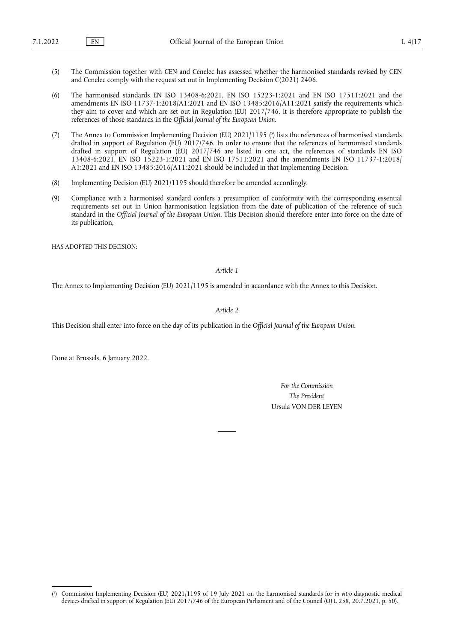- (5) The Commission together with CEN and Cenelec has assessed whether the harmonised standards revised by CEN and Cenelec comply with the request set out in Implementing Decision C(2021) 2406.
- (6) The harmonised standards EN ISO 13408-6:2021, EN ISO 15223-1:2021 and EN ISO 17511:2021 and the amendments EN ISO 11737-1:2018/A1:2021 and EN ISO 13485:2016/A11:2021 satisfy the requirements which they aim to cover and which are set out in Regulation (EU) 2017/746. It is therefore appropriate to publish the references of those standards in the *Official Journal of the European Union*.
- <span id="page-1-1"></span>(7) The Annex to Commission Implementing Decision (EU) 2021/1195 [\(](#page-1-0) 5 ) lists the references of harmonised standards drafted in support of Regulation (EU) 2017/746. In order to ensure that the references of harmonised standards drafted in support of Regulation (EU) 2017/746 are listed in one act, the references of standards EN ISO 13408-6:2021, EN ISO 15223-1:2021 and EN ISO 17511:2021 and the amendments EN ISO 11737-1:2018/ A1:2021 and EN ISO 13485:2016/A11:2021 should be included in that Implementing Decision.
- (8) Implementing Decision (EU) 2021/1195 should therefore be amended accordingly.
- (9) Compliance with a harmonised standard confers a presumption of conformity with the corresponding essential requirements set out in Union harmonisation legislation from the date of publication of the reference of such standard in the *Official Journal of the European Union*. This Decision should therefore enter into force on the date of its publication,

HAS ADOPTED THIS DECISION:

*Article 1*

The Annex to Implementing Decision (EU) 2021/1195 is amended in accordance with the Annex to this Decision.

*Article 2*

This Decision shall enter into force on the day of its publication in the *Official Journal of the European Union*.

Done at Brussels, 6 January 2022.

*For the Commission The President* Ursula VON DER LEYEN

<span id="page-1-0"></span>[<sup>\(</sup>](#page-1-1) 5 ) Commission Implementing Decision (EU) 2021/1195 of 19 July 2021 on the harmonised standards for *in vitro* diagnostic medical devices drafted in support of Regulation (EU) 2017/746 of the European Parliament and of the Council (OJ L 258, 20.7.2021, p. 50).